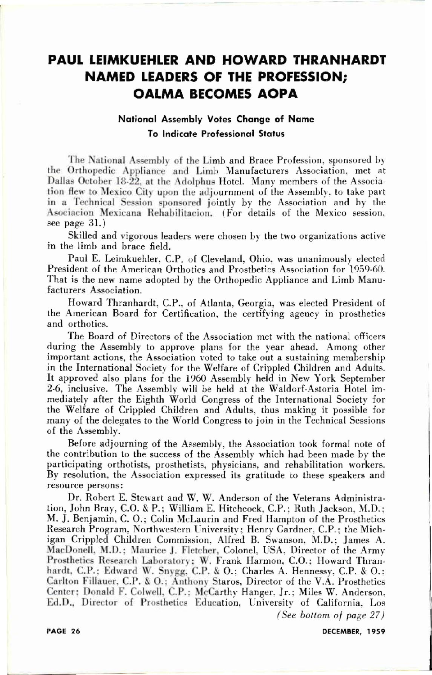# **PAUL LEIMKUEHLER AND HOWARD THRANHARDT NAMED LEADERS OF THE PROFESSION; OALMA BECOMES AOPA**

### **National Assembly Votes Change of Name To Indicate Professional Status**

**The National Assembly o f the Limb and Brace Profession, sponsored by**  the Orthopedic Appliance and Limb Manufacturers Association, met at **Dallas October 18-22, at the Adolphus Hotel. Many members of the Associa tion fle w to Mexico Cit <sup>y</sup> upon the adjournment of the Assembly, to take part in a Technica <sup>l</sup>** Session sponsored **jointly by the Association and by the Asociacion Mexicana Rehabilitacion. (Fo r details of the Mexico session, see page 31.)** 

**Skilled and vigorous leaders were chosen by the two organizations active in the limb and brace field.** 

**Paul E . Leimkuehler, C.P . of Cleveland, Ohio, was unanimously elected President of the American Orthotics and Prosthetics Association for 1959-60.** That is the new name adopted by the Orthopedic Appliance and Limb Manu**facturers Association.** 

**Howar d Thranhardt, C.P. , of Atlanta, Georgia, was elected President of the America n Board for Certification, the certifying agency in prosthetics and orthotics.** 

The Board of Directors of the Association met with the national officers during the Assembly to approve plans for the year ahead. Among other **important actions, the Association voted to take out a sustaining membership in the International Society for the Welfare of Crippled Children and Adults. It approved also plans for the 1960 Assembly held in New Yor k September 2-6, inclusive. Th e Assembly will be held at the Waldorf-Astoria Hotel immediately after the Eighth Worl d Congress of the International Society for the Welfare of Crippled Children and Adults, thus making it possible for many of the delegates to the World Congress to join in the Technica l Sessions of the Assembly.** 

**Before adjourning of the Assembly, the Association took formal note of the contribution to the success of the Assembly which had been made by the participating orthotists, prosthetists, physicians , and rehabilitation workers. B y resolution, the Association expressed its gratitude to these speakers and resource persons:** 

Dr. Robert E. Stewart and W. W. Anderson of the Veterans Administra**tion, John Bray , C.O . & P.; Willia m E . Hitchcock, C.P. ; Rut h Jackson, M.D.: M.J . Benjamin , C.O** . ; **Colin McLauri n and Fre d Hampton of the Prosthetics Research Program , Northwestern University ; Henr y Gardner, C.P. ; the Michigan Crippled Children Commission, Alfred B. Swanson, M.D.: James A .**  MacDonell, M.D.; Maurice J. Fletcher, Colonel, USA, Director of the Army **Prosthetics Research Laboratory ; W. Fran k Harmon , C.O. ; Howar d Thran hardt. C.P. ; Edwar d W. Snygg, C.P . & O** . ; **Charles A . Hennessy, C.P. & O. : Carlton Fillauer. C.P. & O**.**: Anthony Staros, Director of the V.A . Prosthetics Center: Donald F. Colwell. C.P. : McCarth y Hanger, Jr. ; Miles W. Anderson, Ed.D. , Director of Prosthetics Educution, University of California , Lo s** 

*(See bottom of page 27)* 

**PAGE 26** 

DECEMBER, 1959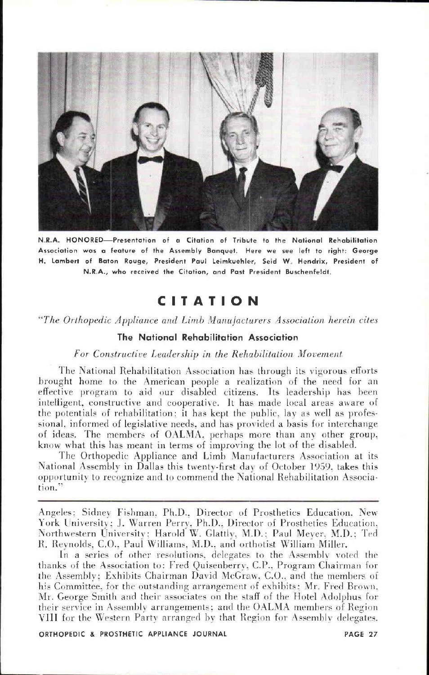

**N.R.A . HONORED—Presentatio n of a Citatio n of Tribut e to the Nationa l Rehabilitatio n Associatio n wa s a featur e of the Assembl y Banquet . Her e w e se e left to right: Georg e H. Lambert of Bato n Rouge , Presiden t Pau l Leimkuehler, Sei d W . Hendrix , Presiden t of**   $N.R.A.,$  who received the Citation, and Past President Buschenfeldt.

### **CITATIO N**

*"The Orthopedic Appliance and Limb Manufacturers Association herein cites* 

#### **The National Rehabilitation Association**

#### *For Constructive Leadership in the Rehabilitation Movement*

The National Rehabilitation Association has through its vigorous efforts brought home to the American people a realization of the need for an effective program to aid our disabled citizens. Its leadership has been intelligent, constructive and cooperative. It has made local areas aware of the potentials of rehabilitation: it has kept the public, lav as well as professional, informed of legislative needs, and has provided a basis for interchange, of ideas. The members of OALMA . perhaps more than any other group , know what this has meant in terms of improving the lot of the disabled.

The Orthopedic Appliance and Limb Manufacturers Association at its National Assembly in Dallas this twenty-first day of October 1959, takes this opportunity to recognize and to commen d the National Rehabilitation Association."

Angeles: Sidney Fishman, Ph.D., Director of Prosthetics Education. New York University; J. Warren Perry. Ph.D., Director of Prosthetics Education. Northwestern University: Harold W. Glattly, M.D.: Paul Meyer, M.D.: Ted R. Reynolds. C.O., Paul Williams. M.D. , and orthotist William Miller.

In a series of other resolutions, delegates to the Assembly voted the thanks of the Association to: Fred Quisenberry, C.P., Program Chairman for the Assembly : Exhibits Chairman David McGraw. C.O., and the members of his Committee, for the outstanding arrangement of exhibits; Mr. Fred Brown . M r. Georg e Smith and their associates on the staff of the Hotel Adolphus for their service in Assembly arrangements; and the OALMA members of Region VIII for the Western Party arranged by that Region for Assembly delegates.

ORTHOPEDIC & PROSTHETIC APPLIANCE JOURNAL